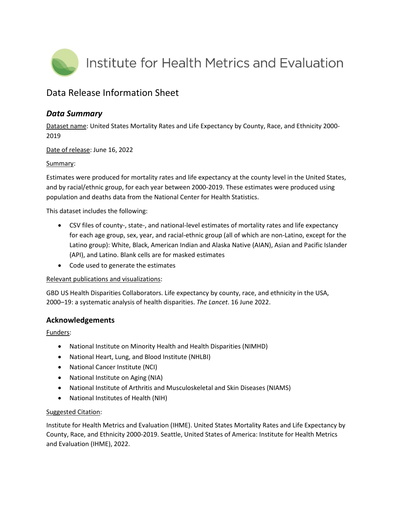

# Data Release Information Sheet

## *Data Summary*

Dataset name: United States Mortality Rates and Life Expectancy by County, Race, and Ethnicity 2000- 2019

Date of release: June 16, 2022

#### Summary:

Estimates were produced for mortality rates and life expectancy at the county level in the United States, and by racial/ethnic group, for each year between 2000-2019. These estimates were produced using population and deaths data from the National Center for Health Statistics.

This dataset includes the following:

- CSV files of county-, state-, and national-level estimates of mortality rates and life expectancy for each age group, sex, year, and racial-ethnic group (all of which are non-Latino, except for the Latino group): White, Black, American Indian and Alaska Native (AIAN), Asian and Pacific Islander (API), and Latino. Blank cells are for masked estimates
- Code used to generate the estimates

#### Relevant publications and visualizations:

GBD US Health Disparities Collaborators. Life expectancy by county, race, and ethnicity in the USA, 2000–19: a systematic analysis of health disparities. *The Lancet*. 16 June 2022.

### **Acknowledgements**

Funders:

- National Institute on Minority Health and Health Disparities (NIMHD)
- National Heart, Lung, and Blood Institute (NHLBI)
- National Cancer Institute (NCI)
- National Institute on Aging (NIA)
- National Institute of Arthritis and Musculoskeletal and Skin Diseases (NIAMS)
- National Institutes of Health (NIH)

### Suggested Citation:

Institute for Health Metrics and Evaluation (IHME). United States Mortality Rates and Life Expectancy by County, Race, and Ethnicity 2000-2019. Seattle, United States of America: Institute for Health Metrics and Evaluation (IHME), 2022.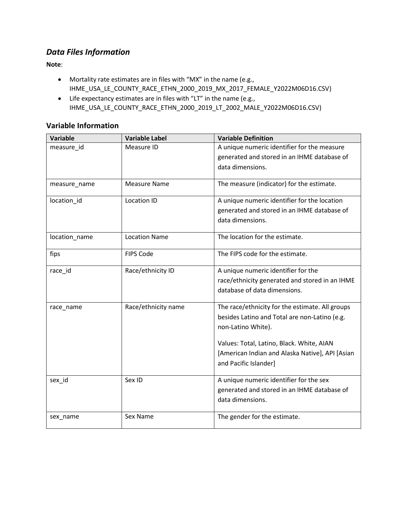# *Data Files Information*

**Note**:

- Mortality rate estimates are in files with "MX" in the name (e.g., IHME\_USA\_LE\_COUNTY\_RACE\_ETHN\_2000\_2019\_MX\_2017\_FEMALE\_Y2022M06D16.CSV)
- Life expectancy estimates are in files with "LT" in the name (e.g., IHME\_USA\_LE\_COUNTY\_RACE\_ETHN\_2000\_2019\_LT\_2002\_MALE\_Y2022M06D16.CSV)

### **Variable Information**

| Variable      | <b>Variable Label</b> | <b>Variable Definition</b>                                          |
|---------------|-----------------------|---------------------------------------------------------------------|
| measure_id    | Measure ID            | A unique numeric identifier for the measure                         |
|               |                       | generated and stored in an IHME database of                         |
|               |                       | data dimensions.                                                    |
| measure_name  | <b>Measure Name</b>   | The measure (indicator) for the estimate.                           |
| location_id   | Location ID           | A unique numeric identifier for the location                        |
|               |                       | generated and stored in an IHME database of                         |
|               |                       | data dimensions.                                                    |
| location_name | <b>Location Name</b>  | The location for the estimate.                                      |
| fips          | <b>FIPS Code</b>      | The FIPS code for the estimate.                                     |
| race_id       | Race/ethnicity ID     | A unique numeric identifier for the                                 |
|               |                       | race/ethnicity generated and stored in an IHME                      |
|               |                       | database of data dimensions.                                        |
| race_name     | Race/ethnicity name   | The race/ethnicity for the estimate. All groups                     |
|               |                       | besides Latino and Total are non-Latino (e.g.<br>non-Latino White). |
|               |                       | Values: Total, Latino, Black. White, AIAN                           |
|               |                       | [American Indian and Alaska Native], API [Asian                     |
|               |                       | and Pacific Islander]                                               |
| sex_id        | Sex ID                | A unique numeric identifier for the sex                             |
|               |                       | generated and stored in an IHME database of                         |
|               |                       | data dimensions.                                                    |
| sex_name      | Sex Name              | The gender for the estimate.                                        |